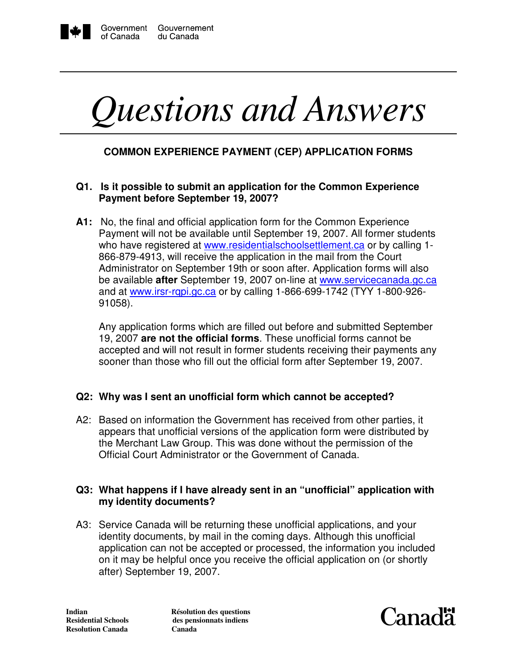

I

# *Questions and Answers*

# **COMMON EXPERIENCE PAYMENT (CEP) APPLICATION FORMS**

## **Q1. Is it possible to submit an application for the Common Experience Payment before September 19, 2007?**

**A1:** No, the final and official application form for the Common Experience Payment will not be available until September 19, 2007. All former students who have registered at www.residentialschoolsettlement.ca or by calling 1-866-879-4913, will receive the application in the mail from the Court Administrator on September 19th or soon after. Application forms will also be available **after** September 19, 2007 on-line at www.servicecanada.gc.ca and at www.irsr-rqpi.gc.ca or by calling 1-866-699-1742 (TYY 1-800-926-91058).

 Any application forms which are filled out before and submitted September 19, 2007 **are not the official forms**. These unofficial forms cannot be accepted and will not result in former students receiving their payments any sooner than those who fill out the official form after September 19, 2007.

### **Q2: Why was I sent an unofficial form which cannot be accepted?**

A2: Based on information the Government has received from other parties, it appears that unofficial versions of the application form were distributed by the Merchant Law Group. This was done without the permission of the Official Court Administrator or the Government of Canada.

#### **Q3: What happens if I have already sent in an "unofficial" application with my identity documents?**

A3: Service Canada will be returning these unofficial applications, and your identity documents, by mail in the coming days. Although this unofficial application can not be accepted or processed, the information you included on it may be helpful once you receive the official application on (or shortly after) September 19, 2007.

**Resolution Canada Canada**

**Indian 1.5 (1)** Résolution des questions<br> **Residential Schools** des pensionnats indiens des pensionnats indiens